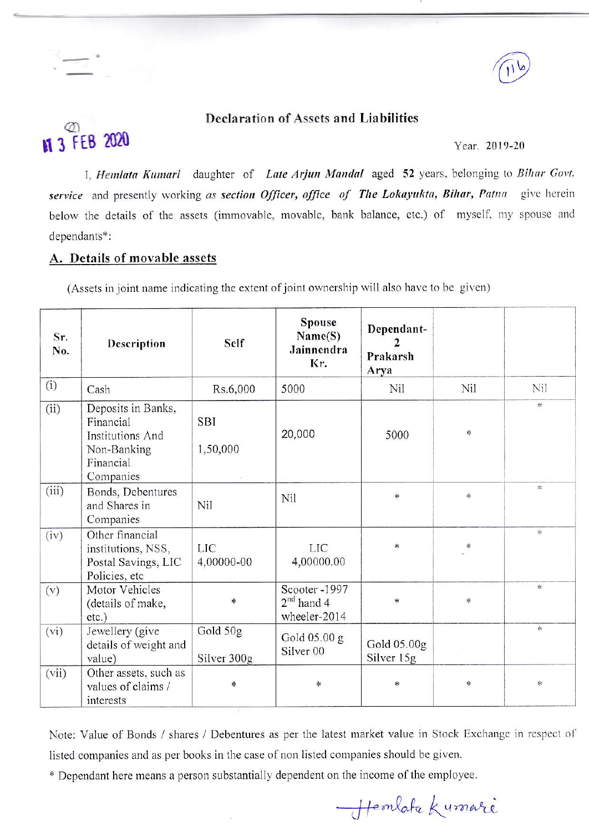

## **Declaration of Assets and Liabilities**

#### Year. 2019-20

I, Hemlata Kumari daughter of Late Arjun Mandal aged 52 years, belonging to Bihar Govt. service and presently working as section Officer, office of The Lokayukta, Bihar, Patna give herein below the details of the assets (immovable, movable, bank balance, etc.) of myself, my spouse and dependants\*:

### A. Details of movable assets

**M 3 FEB 2020** 

(Assets in joint name indicating the extent of joint ownership will also have to be given)

| Sr.<br>No. | Description                                                                                         | Self                    | <b>Spouse</b><br>Name(S)<br>Jainnendra<br>Kr.   | Dependant-<br>2<br>Prakarsh<br>Arya |         |                                   |
|------------|-----------------------------------------------------------------------------------------------------|-------------------------|-------------------------------------------------|-------------------------------------|---------|-----------------------------------|
| (i)        | Cash                                                                                                | Rs.6,000                | 5000                                            | Nil                                 | Nil     | Nil                               |
| (ii)       | Deposits in Banks,<br>Financial<br><b>Institutions And</b><br>Non-Banking<br>Financial<br>Companies | <b>SBI</b><br>1,50,000  | 20,000                                          | 5000                                | $\star$ | $\frac{1}{25}$                    |
| (iii)      | Bonds, Debentures<br>and Shares in<br>Companies                                                     | Nil                     | Nil                                             | $\ast$                              | $\ast$  | $\frac{d\mathbf{x}}{d\mathbf{x}}$ |
| (iv)       | Other financial<br>institutions, NSS,<br>Postal Savings, LIC<br>Policies, etc                       | LIC<br>4,00000-00       | <b>LIC</b><br>4,00000.00                        | *                                   | *       | 字                                 |
| (v)        | Motor Vehicles<br>(details of make,<br>etc.)                                                        | *                       | Scooter-1997<br>$2^{nd}$ hand 4<br>wheeler-2014 | $\ast$                              | $\ast$  | $\ast$                            |
| (vi)       | Jewellery (give<br>details of weight and<br>value)                                                  | Gold 50g<br>Silver 300g | Gold 05.00 g<br>Silver <sub>00</sub>            | Gold 05.00g<br>Silver 15g           |         | $\frac{1}{2}$                     |
| (vii)      | Other assets, such as<br>values of claims /<br>interests                                            | Ř.                      | *                                               | $\ast$                              | $\ast$  | *                                 |

Note: Value of Bonds / shares / Debentures as per the latest market value in Stock Exchange in respect of listed companies and as per books in the case of non listed companies should be given.

\* Dependant here means a person substantially dependent on the income of the employee.

Hemlata Kumari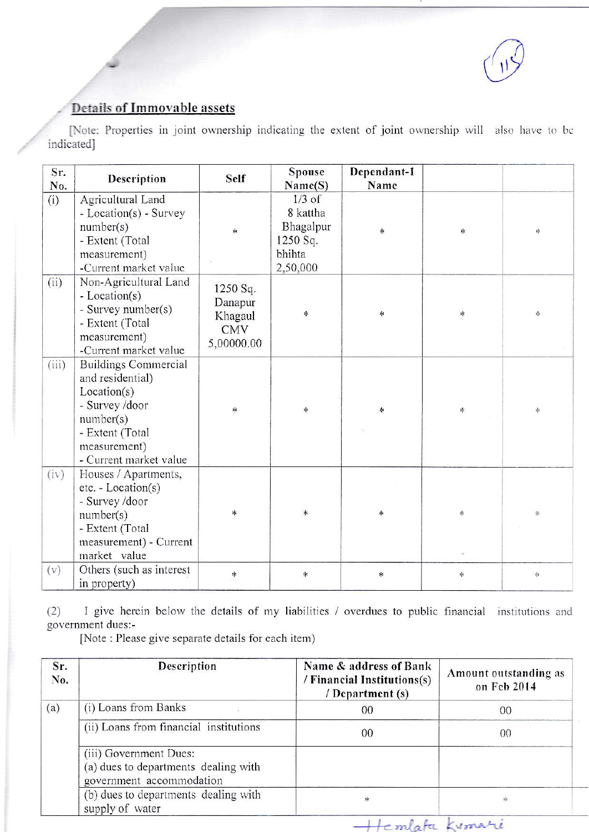

# **Details of Immovable assets**

[Note: Properties in joint ownership indicating the extent of joint ownership will also have to be indicated]

| Sr.<br>No. | Description                                                                                                                                                | Self                                                       | Spouse<br>Name(S)                                                   | Dependant-1<br>Name |           |                 |
|------------|------------------------------------------------------------------------------------------------------------------------------------------------------------|------------------------------------------------------------|---------------------------------------------------------------------|---------------------|-----------|-----------------|
| (i)        | Agricultural Land<br>- Location(s) - Survey<br>number(s)<br>- Extent (Total<br>measurement)<br>-Current market value                                       | 非                                                          | $1/3$ of<br>8 kattha<br>Bhagalpur<br>1250 Sq.<br>bhihta<br>2,50,000 | *                   | ×         | 冰               |
| (ii)       | Non-Agricultural Land<br>- Location(s)<br>- Survey number(s)<br>- Extent (Total<br>measurement)<br>-Current market value                                   | 1250 Sq.<br>Danapur<br>Khagaul<br><b>CMV</b><br>5,00000.00 | $\star$                                                             | $\ast$              | $\ast$    | $\frac{1}{2^k}$ |
| (iii)      | <b>Buildings Commercial</b><br>and residential)<br>Location(s)<br>- Survey /door<br>number(s)<br>- Extent (Total<br>measurement)<br>- Current market value | *                                                          | $\ast$                                                              | *                   | $\approx$ | $\frac{1}{2}$   |
| (iv)       | Houses / Apartments,<br>etc. - Location(s)<br>- Survey /door<br>number(s)<br>- Extent (Total<br>measurement) - Current<br>market value                     | $\ast$                                                     | $\ast$                                                              | *                   | 崇         | 字               |
| (v)        | Others (such as interest<br>in property)                                                                                                                   | $\ast$                                                     | 氺                                                                   | $\ast$              | $\ast$    | ×               |

 $(2)$ I give herein below the details of my liabilities / overdues to public financial institutions and government dues:-

[Note: Please give separate details for each item)

| Sr.<br>No. | Description                                                                                | Name & address of Bank<br>/ Financial Institutions(s)<br>/ Department (s) | Amount outstanding as<br>on Feb 2014 |
|------------|--------------------------------------------------------------------------------------------|---------------------------------------------------------------------------|--------------------------------------|
| (a)        | (i) Loans from Banks                                                                       | 00                                                                        | 00                                   |
|            | (ii) Loans from financial institutions                                                     | 00                                                                        | 00                                   |
|            | (iii) Government Dues:<br>(a) dues to departments dealing with<br>government accommodation |                                                                           |                                      |
|            | (b) dues to departments dealing with<br>supply of water                                    | *                                                                         | 业                                    |

Hemlata Kumari